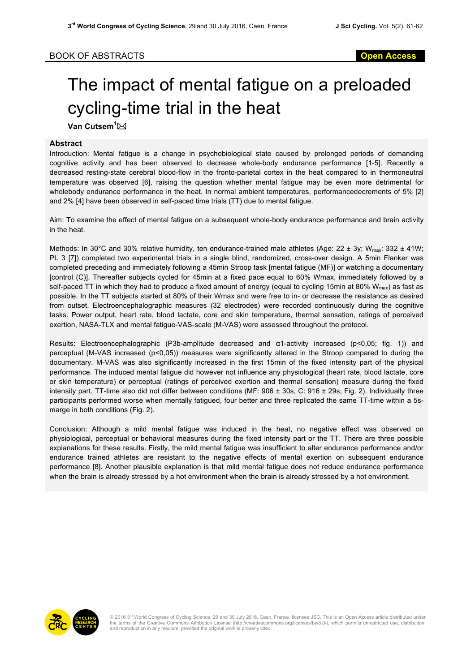## The impact of mental fatigue on a preloaded cycling-time trial in the heat

**Van Cutsem<sup>1</sup>⊠** 

## **Abstract**

Introduction: Mental fatigue is a change in psychobiological state caused by prolonged periods of demanding cognitive activity and has been observed to decrease whole-body endurance performance [1-5]. Recently a decreased resting-state cerebral blood-flow in the fronto-parietal cortex in the heat compared to in thermoneutral temperature was observed [6], raising the question whether mental fatigue may be even more detrimental for wholebody endurance performance in the heat. In normal ambient temperatures, performancedecrements of 5% [2] and 2% [4] have been observed in self-paced time trials (TT) due to mental fatigue.

Aim: To examine the effect of mental fatigue on a subsequent whole-body endurance performance and brain activity in the heat.

Methods: In 30°C and 30% relative humidity, ten endurance-trained male athletes (Age: 22 ± 3y; W<sub>max</sub>: 332 ± 41W; PL 3 [7]) completed two experimental trials in a single blind, randomized, cross-over design. A 5min Flanker was completed preceding and immediately following a 45min Stroop task [mental fatigue (MF)] or watching a documentary [control (C)]. Thereafter subjects cycled for 45min at a fixed pace equal to 60% Wmax, immediately followed by a self-paced TT in which they had to produce a fixed amount of energy (equal to cycling 15min at 80%  $W_{max}$ ) as fast as possible. In the TT subjects started at 80% of their Wmax and were free to in- or decrease the resistance as desired from outset. Electroencephalographic measures (32 electrodes) were recorded continuously during the cognitive tasks. Power output, heart rate, blood lactate, core and skin temperature, thermal sensation, ratings of perceived exertion, NASA-TLX and mental fatigue-VAS-scale (M-VAS) were assessed throughout the protocol.

Results: Electroencephalographic (P3b-amplitude decreased and α1-activity increased (p<0,05; fig. 1)) and perceptual (M-VAS increased (p<0,05)) measures were significantly altered in the Stroop compared to during the documentary. M-VAS was also significantly increased in the first 15min of the fixed intensity part of the physical performance. The induced mental fatigue did however not influence any physiological (heart rate, blood lactate, core or skin temperature) or perceptual (ratings of perceived exertion and thermal sensation) measure during the fixed intensity part. TT-time also did not differ between conditions (MF: 906 ± 30s, C: 916 ± 29s; Fig. 2). Individually three participants performed worse when mentally fatigued, four better and three replicated the same TT-time within a 5smarge in both conditions (Fig. 2).

Conclusion: Although a mild mental fatigue was induced in the heat, no negative effect was observed on physiological, perceptual or behavioral measures during the fixed intensity part or the TT. There are three possible explanations for these results. Firstly, the mild mental fatigue was insufficient to alter endurance performance and/or endurance trained athletes are resistant to the negative effects of mental exertion on subsequent endurance performance [8]. Another plausible explanation is that mild mental fatigue does not reduce endurance performance when the brain is already stressed by a hot environment when the brain is already stressed by a hot environment.